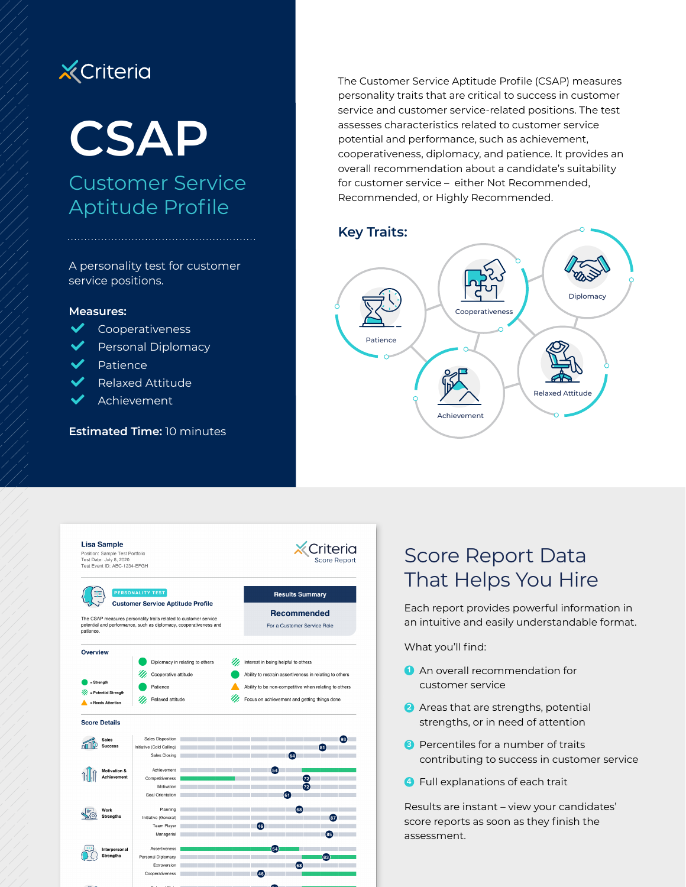## **X** Criteria

# **CSAP**

Customer Service Aptitude Profile

A personality test for customer service positions.

#### **Measures:**



- Personal Diplomacy
- Patience
- Relaxed Attitude
- Achievement

**Estimated Time:** 10 minutes

The Customer Service Aptitude Profile (CSAP) measures personality traits that are critical to success in customer service and customer service-related positions. The test assesses characteristics related to customer service potential and performance, such as achievement, cooperativeness, diplomacy, and patience. It provides an overall recommendation about a candidate's suitability for customer service – either Not Recommended, Recommended, or Highly Recommended.





## Score Report Data That Helps You Hire

Each report provides powerful information in an intuitive and easily understandable format.

What you'll find:

- **1** An overall recommendation for customer service
- **2** Areas that are strengths, potential strengths, or in need of attention
- **3** Percentiles for a number of traits contributing to success in customer service
- **4** Full explanations of each trait

Results are instant – view your candidates' score reports as soon as they finish the assessment.